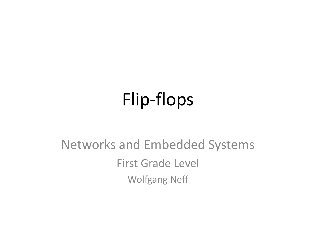#### Flip-flops

#### Networks and Embedded Systems First Grade Level Wolfgang Neff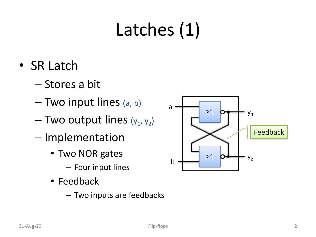#### Latches (1)

- SR Latch
	- Stores a bit
	- Two input lines (a, b)
	- $-$  Two output lines ( $y_1, y_2$ )
	- Implementation
		- Two NOR gates
			- Four input lines
		- Feedback
			- Two inputs are feedbacks

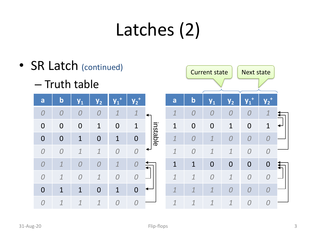# Latches (2)

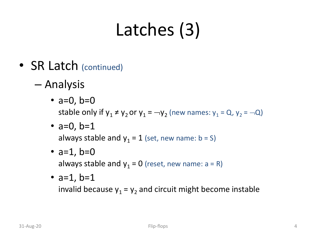# Latches (3)

- SR Latch (continued)
	- Analysis
		- $a=0, b=0$ stable only if  $y_1 \neq y_2$  or  $y_1 = -y_2$  (new names:  $y_1 = Q$ ,  $y_2 = -Q$ )
		- $a=0, b=1$ always stable and  $y_1 = 1$  (set, new name: b = S)
		- $a=1$ ,  $b=0$ always stable and  $y_1 = 0$  (reset, new name:  $a = R$ )
		- $a=1$ ,  $b=1$

invalid because  $y_1 = y_2$  and circuit might become instable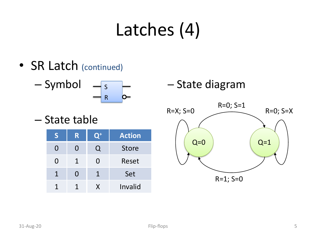#### Latches (4)

• SR Latch (continued)

$$
-\text{Symbol} \quad -\frac{s}{R} \quad -\frac{1}{2}
$$

– State table

| ς                     | R. | $\mathsf{Q}^+$ | <b>Action</b> |
|-----------------------|----|----------------|---------------|
| $\mathbf{\mathbf{I}}$ | 0  | U              | <b>Store</b>  |
| 0                     | 1  | ( )            | Reset         |
| $\mathbf 1$           | 0  | 1              | Set           |
|                       |    | X.             | Invalid       |

– State diagram

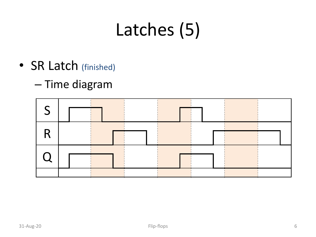#### Latches (5)

- SR Latch (finished)
	- Time diagram

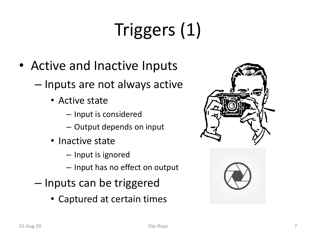# Triggers (1)

- Active and Inactive Inputs
	- Inputs are not always active
		- Active state
			- Input is considered
			- Output depends on input
		- Inactive state
			- Input is ignored
			- Input has no effect on output
	- Inputs can be triggered
		- Captured at certain times



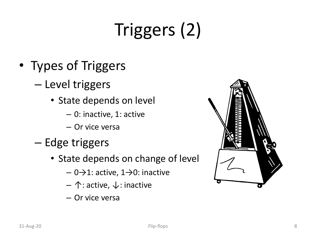# Triggers (2)

- Types of Triggers
	- Level triggers
		- State depends on level
			- 0: inactive, 1: active
			- Or vice versa
	- Edge triggers
		- State depends on change of level
			- $-0$   $\rightarrow$  1: active, 1  $\rightarrow$  0: inactive
			- ↑: active, ↓: inactive
			- Or vice versa

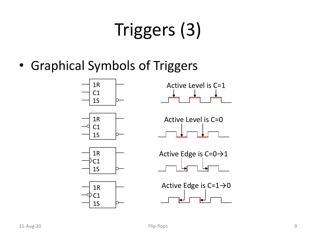# Triggers (3)

• Graphical Symbols of Triggers

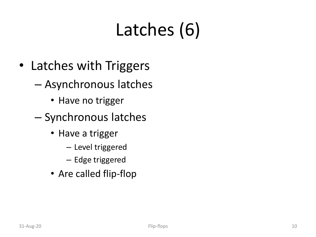## Latches (6)

- Latches with Triggers
	- Asynchronous latches
		- Have no trigger
	- Synchronous latches
		- Have a trigger
			- Level triggered
			- Edge triggered
		- Are called flip-flop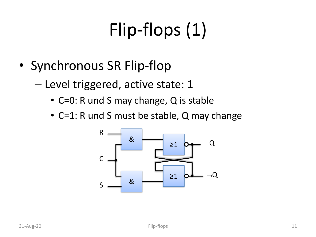# Flip-flops (1)

- Synchronous SR Flip-flop
	- Level triggered, active state: 1
		- C=0: R und S may change, Q is stable
		- C=1: R und S must be stable, Q may change

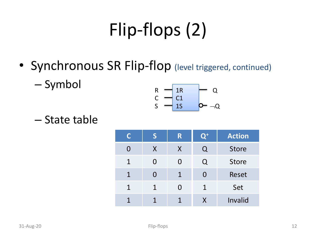# Flip-flops (2)

- Synchronous SR Flip-flop (level triggered, continued)
	- Symbol

$$
\begin{array}{c}\nR \\
C \\
S\n\end{array}\n\begin{array}{c}\n1R \\
C1 \\
1S\n\end{array}\n\begin{array}{c}\nQ \\
D\n\end{array}\n\end{array}
$$

– State table

| C           | S | R            | $\mathsf{Q}^+$ | <b>Action</b> |
|-------------|---|--------------|----------------|---------------|
| O           | X | $\mathsf{X}$ | Q              | <b>Store</b>  |
| $\mathbf 1$ | O | O            | Q              | <b>Store</b>  |
| $\mathbf 1$ | O | $\mathbf{1}$ | O              | Reset         |
| 1           | 1 | O            | 1              | Set           |
|             |   | $\mathbf 1$  | X              | Invalid       |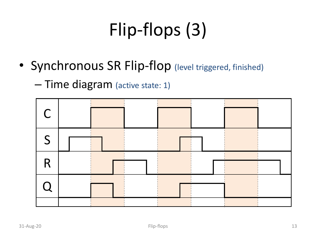# Flip-flops (3)

- Synchronous SR Flip-flop (level triggered, finished)
	- Time diagram (active state: 1)

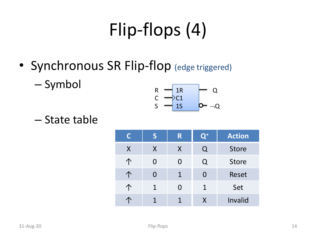#### Flip-flops (4)

- Synchronous SR Flip-flop (edge triggered)
	- Symbol

$$
\begin{array}{ccc}\nR & - & 1R & Q \\
C & & C1 & & Q \\
S & - & 1S & & Q & -Q\n\end{array}
$$

– State table

| C | S           | R.           | $\mathbf{Q}^+$ | <b>Action</b> |
|---|-------------|--------------|----------------|---------------|
| X | X           | $\sf X$      | Q              | <b>Store</b>  |
| 个 | O           | O            | Q              | <b>Store</b>  |
|   | O           | $\mathbf{1}$ | O              | Reset         |
|   | $\mathbf 1$ | O            | 1              | Set           |
|   | 1           | $\mathbf 1$  | X              | Invalid       |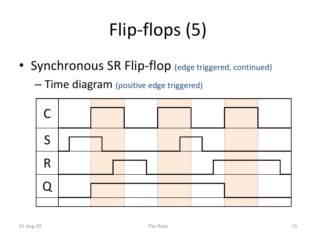# Flip-flops (5)

- Synchronous SR Flip-flop (edge triggered, continued)
	- Time diagram (positive edge triggered)

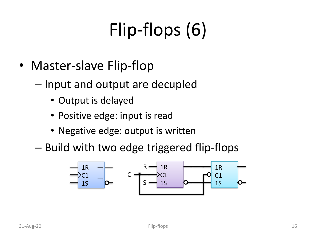# Flip-flops (6)

- Master-slave Flip-flop
	- Input and output are decupled
		- Output is delayed
		- Positive edge: input is read
		- Negative edge: output is written
	- Build with two edge triggered flip-flops

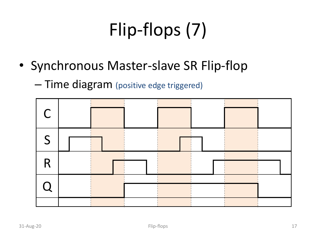# Flip-flops (7)

- Synchronous Master-slave SR Flip-flop
	- Time diagram (positive edge triggered)

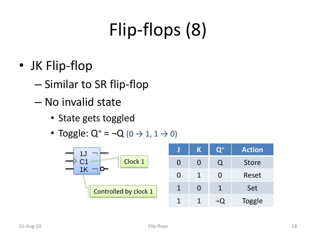# Flip-flops (8)

- JK Flip-flop
	- Similar to SR flip-flop
	- No invalid state
		- State gets toggled
		- Toggle:  $Q^+ = -Q$  (0  $\rightarrow$  1, 1  $\rightarrow$  0)

|                       |   | K | $\mathbf{O}^+$ | <b>Action</b> |
|-----------------------|---|---|----------------|---------------|
| Clock 1               |   |   |                | <b>Store</b>  |
|                       |   |   |                | Reset         |
| Controlled by clock 1 |   |   |                | Set           |
|                       | 1 |   |                | Toggle        |